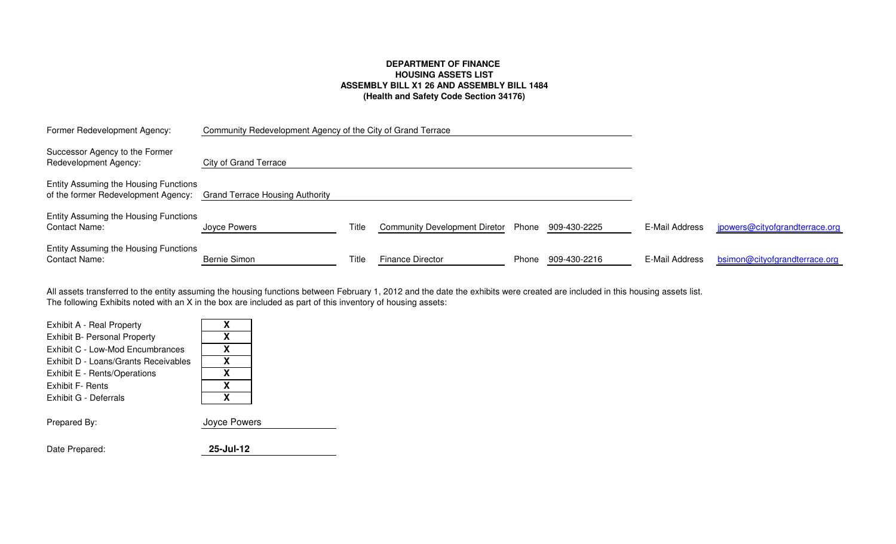## **DEPARTMENT OF FINANCE HOUSING ASSETS LIST ASSEMBLY BILL X1 26 AND ASSEMBLY BILL 1484(Health and Safety Code Section 34176)**

| Former Redevelopment Agency:                                                 | Community Redevelopment Agency of the City of Grand Terrace |       |                               |       |              |                |                                |
|------------------------------------------------------------------------------|-------------------------------------------------------------|-------|-------------------------------|-------|--------------|----------------|--------------------------------|
| Successor Agency to the Former<br>Redevelopment Agency:                      | <b>City of Grand Terrace</b>                                |       |                               |       |              |                |                                |
| Entity Assuming the Housing Functions<br>of the former Redevelopment Agency: | <b>Grand Terrace Housing Authority</b>                      |       |                               |       |              |                |                                |
| Entity Assuming the Housing Functions<br><b>Contact Name:</b>                | Joyce Powers                                                | Title | Community Development Diretor | Phone | 909-430-2225 | E-Mail Address | jpowers@cityofgrandterrace.org |
| Entity Assuming the Housing Functions<br><b>Contact Name:</b>                | Bernie Simon                                                | Title | <b>Finance Director</b>       | Phone | 909-430-2216 | E-Mail Address | bsimon@cityofgrandterrace.org  |

The following Exhibits noted with an X in the box are included as part of this inventory of housing assets: All assets transferred to the entity assuming the housing functions between February 1, 2012 and the date the exhibits were created are included in this housing assets list.

| Exhibit A - Real Property            | X            |
|--------------------------------------|--------------|
| <b>Exhibit B- Personal Property</b>  | X            |
| Exhibit C - Low-Mod Encumbrances     | X            |
| Exhibit D - Loans/Grants Receivables | X            |
| Exhibit E - Rents/Operations         | X            |
| Exhibit F- Rents                     | X            |
| Exhibit G - Deferrals                | x            |
| Prepared By:                         | Joyce Powers |
|                                      |              |
|                                      |              |

| Date Prepared: | 25-Jul-12 |
|----------------|-----------|
|                |           |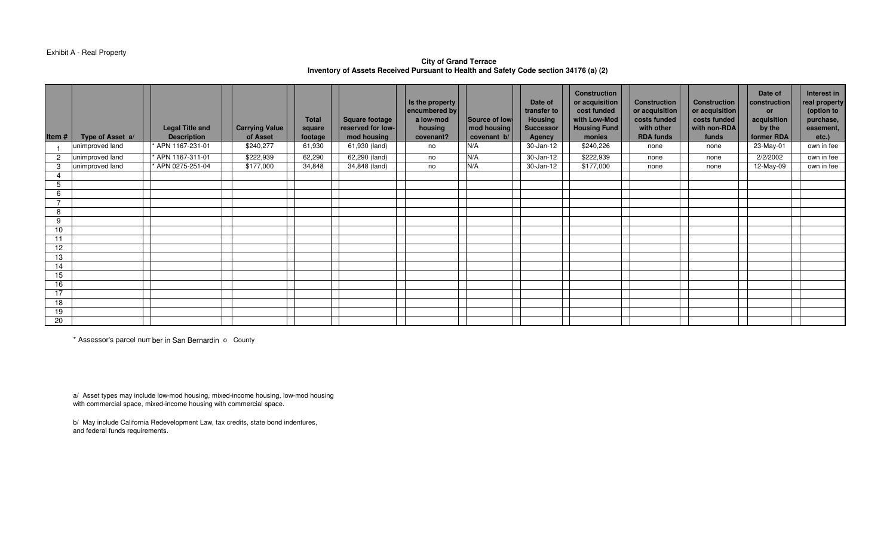#### Exhibit A - Real Property

## **City of Grand TerraceInventory of Assets Received Pursuant to Health and Safety Code section 34176 (a) (2)**

| Item#          | Type of Asset a/ | <b>Legal Title and</b><br><b>Description</b> | <b>Carrying Value</b><br>of Asset | <b>Total</b><br>square<br>footage | <b>Square footage</b><br>reserved for low-<br>mod housing | Is the property<br>encumbered by<br>a low-mod<br>housing<br>covenant? | Source of low-<br>mod housing<br>covenant b/ | Date of<br>transfer to<br><b>Housing</b><br><b>Successor</b><br><b>Agency</b> | <b>Construction</b><br>or acquisition<br>cost funded<br>with Low-Mod<br><b>Housing Fund</b><br>monies | <b>Construction</b><br>or acquisition<br>costs funded<br>with other<br><b>RDA funds</b> | <b>Construction</b><br>or acquisition<br>costs funded<br>with non-RDA<br>funds | Date of<br>construction<br><b>or</b><br>acquisition<br>by the<br>former RDA | Interest in<br>real property<br>(option to<br>purchase,<br>easement,<br>$etc.$ ) |
|----------------|------------------|----------------------------------------------|-----------------------------------|-----------------------------------|-----------------------------------------------------------|-----------------------------------------------------------------------|----------------------------------------------|-------------------------------------------------------------------------------|-------------------------------------------------------------------------------------------------------|-----------------------------------------------------------------------------------------|--------------------------------------------------------------------------------|-----------------------------------------------------------------------------|----------------------------------------------------------------------------------|
|                | unimproved land  | APN 1167-231-01                              | \$240,277                         | 61,930                            | 61,930 (land)                                             | no                                                                    | N/A                                          | 30-Jan-12                                                                     | \$240,226                                                                                             | none                                                                                    | none                                                                           | 23-May-01                                                                   | own in fee                                                                       |
| 2              | unimproved land  | APN 1167-311-01                              | \$222,939                         | 62,290                            | 62,290 (land)                                             | no                                                                    | N/A                                          | 30-Jan-12                                                                     | \$222,939                                                                                             | none                                                                                    | none                                                                           | 2/2/2002                                                                    | own in fee                                                                       |
| 3              | unimproved land  | APN 0275-251-04                              | \$177,000                         | 34,848                            | 34,848 (land)                                             | no                                                                    | N/A                                          | 30-Jan-12                                                                     | \$177,000                                                                                             | none                                                                                    | none                                                                           | 12-May-09                                                                   | own in fee                                                                       |
| 4              |                  |                                              |                                   |                                   |                                                           |                                                                       |                                              |                                                                               |                                                                                                       |                                                                                         |                                                                                |                                                                             |                                                                                  |
| 5              |                  |                                              |                                   |                                   |                                                           |                                                                       |                                              |                                                                               |                                                                                                       |                                                                                         |                                                                                |                                                                             |                                                                                  |
| 6              |                  |                                              |                                   |                                   |                                                           |                                                                       |                                              |                                                                               |                                                                                                       |                                                                                         |                                                                                |                                                                             |                                                                                  |
| $\overline{ }$ |                  |                                              |                                   |                                   |                                                           |                                                                       |                                              |                                                                               |                                                                                                       |                                                                                         |                                                                                |                                                                             |                                                                                  |
| 8              |                  |                                              |                                   |                                   |                                                           |                                                                       |                                              |                                                                               |                                                                                                       |                                                                                         |                                                                                |                                                                             |                                                                                  |
| 9              |                  |                                              |                                   |                                   |                                                           |                                                                       |                                              |                                                                               |                                                                                                       |                                                                                         |                                                                                |                                                                             |                                                                                  |
| 10             |                  |                                              |                                   |                                   |                                                           |                                                                       |                                              |                                                                               |                                                                                                       |                                                                                         |                                                                                |                                                                             |                                                                                  |
| 11             |                  |                                              |                                   |                                   |                                                           |                                                                       |                                              |                                                                               |                                                                                                       |                                                                                         |                                                                                |                                                                             |                                                                                  |
| 12             |                  |                                              |                                   |                                   |                                                           |                                                                       |                                              |                                                                               |                                                                                                       |                                                                                         |                                                                                |                                                                             |                                                                                  |
| 13             |                  |                                              |                                   |                                   |                                                           |                                                                       |                                              |                                                                               |                                                                                                       |                                                                                         |                                                                                |                                                                             |                                                                                  |
| 14             |                  |                                              |                                   |                                   |                                                           |                                                                       |                                              |                                                                               |                                                                                                       |                                                                                         |                                                                                |                                                                             |                                                                                  |
| 15             |                  |                                              |                                   |                                   |                                                           |                                                                       |                                              |                                                                               |                                                                                                       |                                                                                         |                                                                                |                                                                             |                                                                                  |
| 16             |                  |                                              |                                   |                                   |                                                           |                                                                       |                                              |                                                                               |                                                                                                       |                                                                                         |                                                                                |                                                                             |                                                                                  |
| 17             |                  |                                              |                                   |                                   |                                                           |                                                                       |                                              |                                                                               |                                                                                                       |                                                                                         |                                                                                |                                                                             |                                                                                  |
| 18             |                  |                                              |                                   |                                   |                                                           |                                                                       |                                              |                                                                               |                                                                                                       |                                                                                         |                                                                                |                                                                             |                                                                                  |
| 19             |                  |                                              |                                   |                                   |                                                           |                                                                       |                                              |                                                                               |                                                                                                       |                                                                                         |                                                                                |                                                                             |                                                                                  |
| 20             |                  |                                              |                                   |                                   |                                                           |                                                                       |                                              |                                                                               |                                                                                                       |                                                                                         |                                                                                |                                                                             |                                                                                  |

\* Assessor's parcel number in San Bernardino County

a/ Asset types may include low-mod housing, mixed-income housing, low-mod housing with commercial space, mixed-income housing with commercial space.

b/ May include California Redevelopment Law, tax credits, state bond indentures, and federal funds requirements.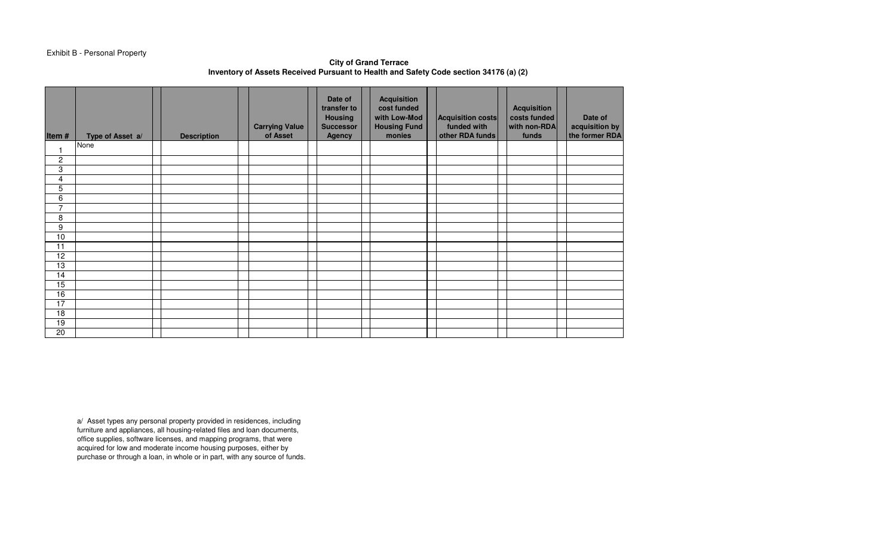## Exhibit B - Personal Property

**City of Grand TerraceInventory of Assets Received Pursuant to Health and Safety Code section 34176 (a) (2)** 

| Item#           | Type of Asset a/ | <b>Description</b> | <b>Carrying Value</b><br>of Asset | Date of<br>transfer to<br><b>Housing</b><br><b>Successor</b><br><b>Agency</b> | <b>Acquisition</b><br>cost funded<br>with Low-Mod<br><b>Housing Fund</b><br>monies | Acquisition costs<br>funded with<br>other RDA funds | <b>Acquisition</b><br>costs funded<br>with non-RDA<br>funds | Date of<br>acquisition by<br>the former RDA |
|-----------------|------------------|--------------------|-----------------------------------|-------------------------------------------------------------------------------|------------------------------------------------------------------------------------|-----------------------------------------------------|-------------------------------------------------------------|---------------------------------------------|
|                 | None             |                    |                                   |                                                                               |                                                                                    |                                                     |                                                             |                                             |
| $\overline{c}$  |                  |                    |                                   |                                                                               |                                                                                    |                                                     |                                                             |                                             |
| 3               |                  |                    |                                   |                                                                               |                                                                                    |                                                     |                                                             |                                             |
| 4               |                  |                    |                                   |                                                                               |                                                                                    |                                                     |                                                             |                                             |
| $\overline{5}$  |                  |                    |                                   |                                                                               |                                                                                    |                                                     |                                                             |                                             |
| $\overline{6}$  |                  |                    |                                   |                                                                               |                                                                                    |                                                     |                                                             |                                             |
| $\overline{7}$  |                  |                    |                                   |                                                                               |                                                                                    |                                                     |                                                             |                                             |
| 8               |                  |                    |                                   |                                                                               |                                                                                    |                                                     |                                                             |                                             |
| 9               |                  |                    |                                   |                                                                               |                                                                                    |                                                     |                                                             |                                             |
| 10              |                  |                    |                                   |                                                                               |                                                                                    |                                                     |                                                             |                                             |
| 11              |                  |                    |                                   |                                                                               |                                                                                    |                                                     |                                                             |                                             |
| 12              |                  |                    |                                   |                                                                               |                                                                                    |                                                     |                                                             |                                             |
| 13              |                  |                    |                                   |                                                                               |                                                                                    |                                                     |                                                             |                                             |
| 14              |                  |                    |                                   |                                                                               |                                                                                    |                                                     |                                                             |                                             |
| 15              |                  |                    |                                   |                                                                               |                                                                                    |                                                     |                                                             |                                             |
| 16              |                  |                    |                                   |                                                                               |                                                                                    |                                                     |                                                             |                                             |
| 17              |                  |                    |                                   |                                                                               |                                                                                    |                                                     |                                                             |                                             |
| $\overline{18}$ |                  |                    |                                   |                                                                               |                                                                                    |                                                     |                                                             |                                             |
| 19              |                  |                    |                                   |                                                                               |                                                                                    |                                                     |                                                             |                                             |
| 20              |                  |                    |                                   |                                                                               |                                                                                    |                                                     |                                                             |                                             |

a/ Asset types any personal property provided in residences, including furniture and appliances, all housing-related files and loan documents, office supplies, software licenses, and mapping programs, that were acquired for low and moderate income housing purposes, either by purchase or through a loan, in whole or in part, with any source of funds.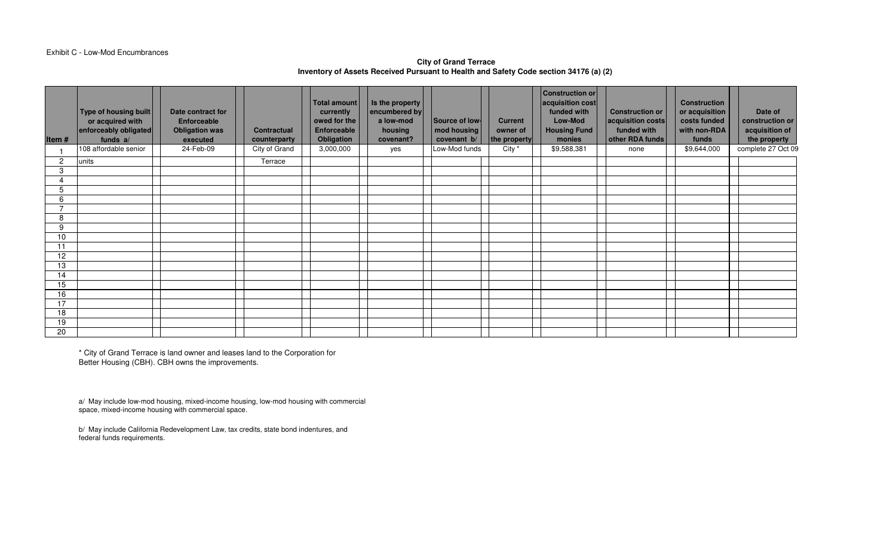#### Exhibit C - Low-Mod Encumbrances

## **City of Grand TerraceInventory of Assets Received Pursuant to Health and Safety Code section 34176 (a) (2)**

| Item#          | Type of housing built<br>or acquired with<br>enforceably obligated<br>funds a/ | Date contract for<br>Enforceable<br><b>Obligation was</b><br>executed | <b>Contractual</b><br>counterparty | <b>Total amount</b><br>currently<br>owed for the<br><b>Enforceable</b><br>Obligation | Is the property<br>encumbered by<br>a low-mod<br>housing<br>covenant? | Source of low-<br>mod housing<br>covenant b/ | <b>Current</b><br>owner of<br>the property | <b>Construction or</b><br>acquisition cost<br>funded with<br>Low-Mod<br><b>Housing Fund</b><br>monies | <b>Construction or</b><br>acquisition costs<br>funded with<br>other RDA funds | <b>Construction</b><br>or acquisition<br>costs funded<br>with non-RDA<br>funds | Date of<br>construction or<br>acquisition of<br>the property |
|----------------|--------------------------------------------------------------------------------|-----------------------------------------------------------------------|------------------------------------|--------------------------------------------------------------------------------------|-----------------------------------------------------------------------|----------------------------------------------|--------------------------------------------|-------------------------------------------------------------------------------------------------------|-------------------------------------------------------------------------------|--------------------------------------------------------------------------------|--------------------------------------------------------------|
|                | 108 affordable senior                                                          | 24-Feb-09                                                             | City of Grand                      | 3,000,000                                                                            | yes                                                                   | Low-Mod funds                                | City *                                     | \$9,588,381                                                                                           | none                                                                          | \$9,644,000                                                                    | complete 27 Oct 09                                           |
| $\overline{c}$ | units                                                                          |                                                                       | Terrace                            |                                                                                      |                                                                       |                                              |                                            |                                                                                                       |                                                                               |                                                                                |                                                              |
| 3              |                                                                                |                                                                       |                                    |                                                                                      |                                                                       |                                              |                                            |                                                                                                       |                                                                               |                                                                                |                                                              |
|                |                                                                                |                                                                       |                                    |                                                                                      |                                                                       |                                              |                                            |                                                                                                       |                                                                               |                                                                                |                                                              |
| 5              |                                                                                |                                                                       |                                    |                                                                                      |                                                                       |                                              |                                            |                                                                                                       |                                                                               |                                                                                |                                                              |
| 6              |                                                                                |                                                                       |                                    |                                                                                      |                                                                       |                                              |                                            |                                                                                                       |                                                                               |                                                                                |                                                              |
|                |                                                                                |                                                                       |                                    |                                                                                      |                                                                       |                                              |                                            |                                                                                                       |                                                                               |                                                                                |                                                              |
| 8              |                                                                                |                                                                       |                                    |                                                                                      |                                                                       |                                              |                                            |                                                                                                       |                                                                               |                                                                                |                                                              |
| 9              |                                                                                |                                                                       |                                    |                                                                                      |                                                                       |                                              |                                            |                                                                                                       |                                                                               |                                                                                |                                                              |
| 10             |                                                                                |                                                                       |                                    |                                                                                      |                                                                       |                                              |                                            |                                                                                                       |                                                                               |                                                                                |                                                              |
| 11             |                                                                                |                                                                       |                                    |                                                                                      |                                                                       |                                              |                                            |                                                                                                       |                                                                               |                                                                                |                                                              |
| 12             |                                                                                |                                                                       |                                    |                                                                                      |                                                                       |                                              |                                            |                                                                                                       |                                                                               |                                                                                |                                                              |
| 13<br>14       |                                                                                |                                                                       |                                    |                                                                                      |                                                                       |                                              |                                            |                                                                                                       |                                                                               |                                                                                |                                                              |
| 15             |                                                                                |                                                                       |                                    |                                                                                      |                                                                       |                                              |                                            |                                                                                                       |                                                                               |                                                                                |                                                              |
| 16             |                                                                                |                                                                       |                                    |                                                                                      |                                                                       |                                              |                                            |                                                                                                       |                                                                               |                                                                                |                                                              |
| 17             |                                                                                |                                                                       |                                    |                                                                                      |                                                                       |                                              |                                            |                                                                                                       |                                                                               |                                                                                |                                                              |
| 18             |                                                                                |                                                                       |                                    |                                                                                      |                                                                       |                                              |                                            |                                                                                                       |                                                                               |                                                                                |                                                              |
| 19             |                                                                                |                                                                       |                                    |                                                                                      |                                                                       |                                              |                                            |                                                                                                       |                                                                               |                                                                                |                                                              |
| 20             |                                                                                |                                                                       |                                    |                                                                                      |                                                                       |                                              |                                            |                                                                                                       |                                                                               |                                                                                |                                                              |
|                |                                                                                |                                                                       |                                    |                                                                                      |                                                                       |                                              |                                            |                                                                                                       |                                                                               |                                                                                |                                                              |

\* City of Grand Terrace is land owner and leases land to the Corporation for Better Housing (CBH). CBH owns the improvements.

a/ May include low-mod housing, mixed-income housing, low-mod housing with commercial space, mixed-income housing with commercial space.

b/ May include California Redevelopment Law, tax credits, state bond indentures, and federal funds requirements.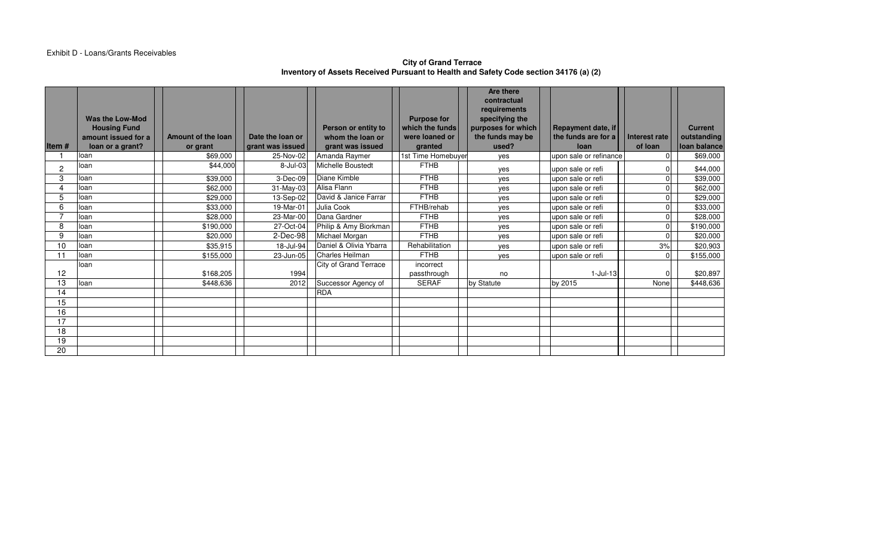## **City of Grand Terrace Inventory of Assets Received Pursuant to Health and Safety Code section 34176 (a) (2)**

|                |                                        |                    |                  |                        |                                       | Are there<br>contractual             |                        |                      |                |                |
|----------------|----------------------------------------|--------------------|------------------|------------------------|---------------------------------------|--------------------------------------|------------------------|----------------------|----------------|----------------|
|                |                                        |                    |                  |                        |                                       | requirements                         |                        |                      |                |                |
|                | Was the Low-Mod<br><b>Housing Fund</b> |                    |                  | Person or entity to    | <b>Purpose for</b><br>which the funds | specifying the<br>purposes for which | Repayment date, if     |                      |                | <b>Current</b> |
|                | amount issued for a                    | Amount of the loan | Date the loan or | whom the loan or       | were loaned or                        | the funds may be                     | the funds are for a    | <b>Interest rate</b> |                | outstanding    |
| Item $#$       | loan or a grant?                       | or grant           | grant was issued | grant was issued       | granted                               | used?                                | loan                   | of loan              |                | loan balance   |
|                | loan                                   | \$69,000           | 25-Nov-02        | Amanda Raymer          | 1st Time Homebuyer                    | yes                                  | upon sale or refinance |                      | $\Omega$       | \$69,000       |
| $\overline{2}$ | loan                                   | \$44,000           | 8-Jul-03         | Michelle Boustedt      | <b>FTHB</b>                           | yes                                  | upon sale or refi      |                      | $\overline{0}$ | \$44,000       |
| 3              | loan                                   | \$39,000           | 3-Dec-09         | Diane Kimble           | <b>FTHB</b>                           | yes                                  | upon sale or refi      |                      | $\Omega$       | \$39,000       |
|                | loan                                   | \$62,000           | 31-May-03        | Alisa Flann            | <b>FTHB</b>                           | yes                                  | upon sale or refi      |                      | $\Omega$       | \$62,000       |
| 5              | loan                                   | \$29,000           | 13-Sep-02        | David & Janice Farrar  | <b>FTHB</b>                           | yes                                  | upon sale or refi      |                      | $\Omega$       | \$29,000       |
| 6              | loan                                   | \$33,000           | 19-Mar-01        | Julia Cook             | FTHB/rehab                            | yes                                  | upon sale or refi      |                      | $\Omega$       | \$33,000       |
|                | loan                                   | \$28,000           | 23-Mar-00        | Dana Gardner           | <b>FTHB</b>                           | yes                                  | upon sale or refi      |                      | $\Omega$       | \$28,000       |
| 8              | loan                                   | \$190,000          | 27-Oct-04        | Philip & Amy Biorkman  | <b>FTHB</b>                           | yes                                  | upon sale or refi      |                      | $\Omega$       | \$190,000      |
| 9              | loan                                   | \$20,000           | $2$ -Dec-98      | Michael Morgan         | <b>FTHB</b>                           | yes                                  | upon sale or refi      |                      | $\Omega$       | \$20,000       |
| 10             | loan                                   | \$35,915           | 18-Jul-94        | Daniel & Olivia Ybarra | Rehabilitation                        | yes                                  | upon sale or refi      |                      | 3%             | \$20,903       |
| 11             | loan                                   | \$155,000          | 23-Jun-05        | Charles Heilman        | <b>FTHB</b>                           | yes                                  | upon sale or refi      |                      | $\overline{0}$ | \$155,000      |
|                | loan                                   |                    |                  | City of Grand Terrace  | incorrect                             |                                      |                        |                      |                |                |
| 12             |                                        | \$168,205          | 1994             |                        | passthrough                           | no                                   | $1$ -Jul-13            |                      | $\overline{0}$ | \$20,897       |
| 13             | loan                                   | \$448,636          | 2012             | Successor Agency of    | <b>SERAF</b>                          | by Statute                           | by 2015                | None                 |                | \$448,636      |
| 14             |                                        |                    |                  | <b>RDA</b>             |                                       |                                      |                        |                      |                |                |
| 15             |                                        |                    |                  |                        |                                       |                                      |                        |                      |                |                |
| 16             |                                        |                    |                  |                        |                                       |                                      |                        |                      |                |                |
| 17             |                                        |                    |                  |                        |                                       |                                      |                        |                      |                |                |
| 18             |                                        |                    |                  |                        |                                       |                                      |                        |                      |                |                |
| 19             |                                        |                    |                  |                        |                                       |                                      |                        |                      |                |                |
| 20             |                                        |                    |                  |                        |                                       |                                      |                        |                      |                |                |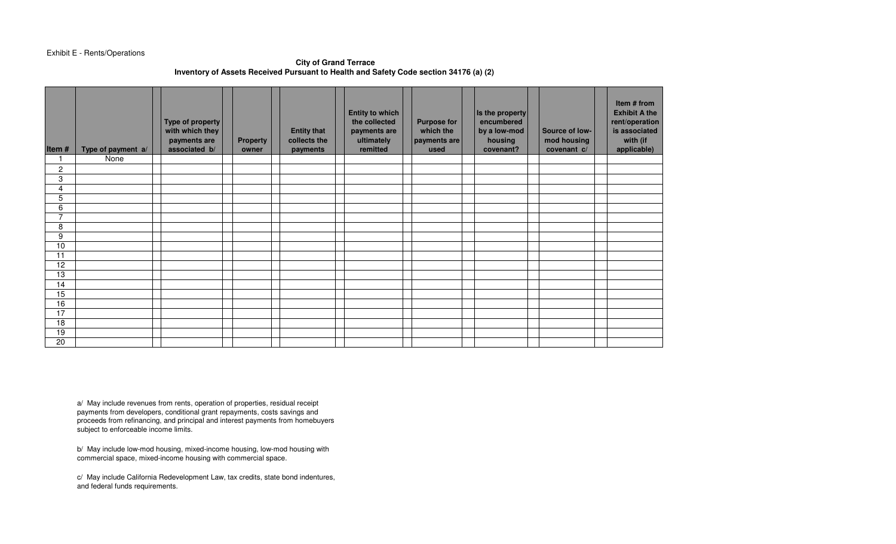## Exhibit E - Rents/Operations

#### **City of Grand TerraceInventory of Assets Received Pursuant to Health and Safety Code section 34176 (a) (2)**

| Item#           | Type of payment a/ | Type of property<br>with which they<br>payments are<br>associated b/ | <b>Property</b><br>owner | <b>Entity that</b><br>collects the<br>payments | <b>Entity to which</b><br>the collected<br>payments are<br>ultimately<br>remitted | <b>Purpose for</b><br>which the<br>payments are<br>used | Is the property<br>encumbered<br>by a low-mod<br>housing<br>covenant? | Source of low-<br>mod housing<br>covenant c/ | Item # from<br><b>Exhibit A the</b><br>rent/operation<br>is associated<br>with (if<br>applicable) |
|-----------------|--------------------|----------------------------------------------------------------------|--------------------------|------------------------------------------------|-----------------------------------------------------------------------------------|---------------------------------------------------------|-----------------------------------------------------------------------|----------------------------------------------|---------------------------------------------------------------------------------------------------|
| 1               | None               |                                                                      |                          |                                                |                                                                                   |                                                         |                                                                       |                                              |                                                                                                   |
| 2               |                    |                                                                      |                          |                                                |                                                                                   |                                                         |                                                                       |                                              |                                                                                                   |
| 3               |                    |                                                                      |                          |                                                |                                                                                   |                                                         |                                                                       |                                              |                                                                                                   |
| 4               |                    |                                                                      |                          |                                                |                                                                                   |                                                         |                                                                       |                                              |                                                                                                   |
| 5               |                    |                                                                      |                          |                                                |                                                                                   |                                                         |                                                                       |                                              |                                                                                                   |
| 6               |                    |                                                                      |                          |                                                |                                                                                   |                                                         |                                                                       |                                              |                                                                                                   |
| $\overline{7}$  |                    |                                                                      |                          |                                                |                                                                                   |                                                         |                                                                       |                                              |                                                                                                   |
| 8               |                    |                                                                      |                          |                                                |                                                                                   |                                                         |                                                                       |                                              |                                                                                                   |
| 9               |                    |                                                                      |                          |                                                |                                                                                   |                                                         |                                                                       |                                              |                                                                                                   |
| 10              |                    |                                                                      |                          |                                                |                                                                                   |                                                         |                                                                       |                                              |                                                                                                   |
| 11              |                    |                                                                      |                          |                                                |                                                                                   |                                                         |                                                                       |                                              |                                                                                                   |
| $\overline{12}$ |                    |                                                                      |                          |                                                |                                                                                   |                                                         |                                                                       |                                              |                                                                                                   |
| $\overline{13}$ |                    |                                                                      |                          |                                                |                                                                                   |                                                         |                                                                       |                                              |                                                                                                   |
| 14              |                    |                                                                      |                          |                                                |                                                                                   |                                                         |                                                                       |                                              |                                                                                                   |
| 15              |                    |                                                                      |                          |                                                |                                                                                   |                                                         |                                                                       |                                              |                                                                                                   |
| 16              |                    |                                                                      |                          |                                                |                                                                                   |                                                         |                                                                       |                                              |                                                                                                   |
| 17              |                    |                                                                      |                          |                                                |                                                                                   |                                                         |                                                                       |                                              |                                                                                                   |
| 18              |                    |                                                                      |                          |                                                |                                                                                   |                                                         |                                                                       |                                              |                                                                                                   |
| 19              |                    |                                                                      |                          |                                                |                                                                                   |                                                         |                                                                       |                                              |                                                                                                   |
| 20              |                    |                                                                      |                          |                                                |                                                                                   |                                                         |                                                                       |                                              |                                                                                                   |

a/ May include revenues from rents, operation of properties, residual receipt payments from developers, conditional grant repayments, costs savings and proceeds from refinancing, and principal and interest payments from homebuyers subject to enforceable income limits.

b/ May include low-mod housing, mixed-income housing, low-mod housing with commercial space, mixed-income housing with commercial space.

c/ May include California Redevelopment Law, tax credits, state bond indentures, and federal funds requirements.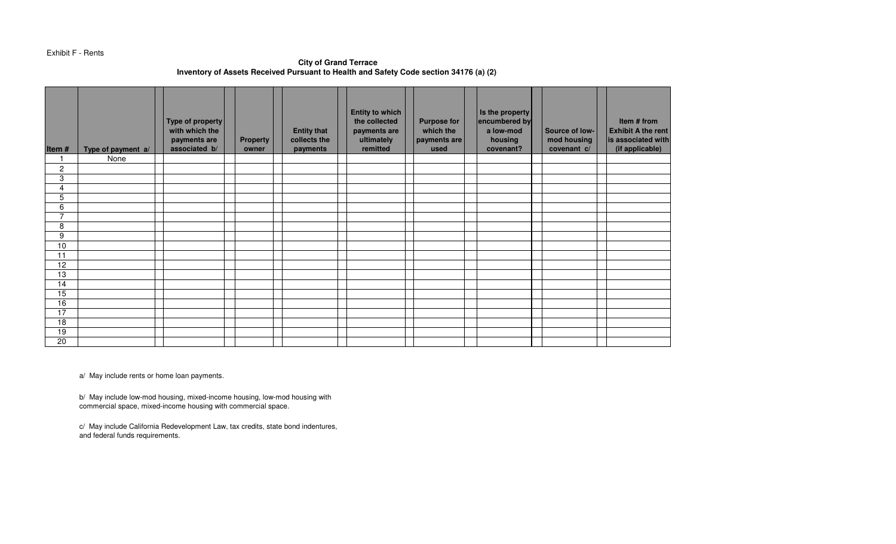Exhibit F - Rents

**City of Grand TerraceInventory of Assets Received Pursuant to Health and Safety Code section 34176 (a) (2)** 

| Item#           | Type of payment a/ | Type of property<br>with which the<br>payments are<br>associated b/ | <b>Property</b><br>owner | <b>Entity that</b><br>collects the<br>payments | <b>Entity to which</b><br>the collected<br>payments are<br>ultimately<br>remitted | <b>Purpose for</b><br>which the<br>payments are<br>used | Is the property<br>encumbered by<br>a low-mod<br>housing<br>covenant? | Source of low-<br>mod housing<br>covenant c/ | Item # from<br><b>Exhibit A the rent</b><br>is associated with<br>(if applicable) |
|-----------------|--------------------|---------------------------------------------------------------------|--------------------------|------------------------------------------------|-----------------------------------------------------------------------------------|---------------------------------------------------------|-----------------------------------------------------------------------|----------------------------------------------|-----------------------------------------------------------------------------------|
|                 | None               |                                                                     |                          |                                                |                                                                                   |                                                         |                                                                       |                                              |                                                                                   |
| $\overline{c}$  |                    |                                                                     |                          |                                                |                                                                                   |                                                         |                                                                       |                                              |                                                                                   |
| 3               |                    |                                                                     |                          |                                                |                                                                                   |                                                         |                                                                       |                                              |                                                                                   |
| 4               |                    |                                                                     |                          |                                                |                                                                                   |                                                         |                                                                       |                                              |                                                                                   |
| $\overline{5}$  |                    |                                                                     |                          |                                                |                                                                                   |                                                         |                                                                       |                                              |                                                                                   |
| 6               |                    |                                                                     |                          |                                                |                                                                                   |                                                         |                                                                       |                                              |                                                                                   |
| $\overline{7}$  |                    |                                                                     |                          |                                                |                                                                                   |                                                         |                                                                       |                                              |                                                                                   |
| 8               |                    |                                                                     |                          |                                                |                                                                                   |                                                         |                                                                       |                                              |                                                                                   |
| 9               |                    |                                                                     |                          |                                                |                                                                                   |                                                         |                                                                       |                                              |                                                                                   |
| 10              |                    |                                                                     |                          |                                                |                                                                                   |                                                         |                                                                       |                                              |                                                                                   |
| 11              |                    |                                                                     |                          |                                                |                                                                                   |                                                         |                                                                       |                                              |                                                                                   |
| 12              |                    |                                                                     |                          |                                                |                                                                                   |                                                         |                                                                       |                                              |                                                                                   |
| 13              |                    |                                                                     |                          |                                                |                                                                                   |                                                         |                                                                       |                                              |                                                                                   |
| $\overline{14}$ |                    |                                                                     |                          |                                                |                                                                                   |                                                         |                                                                       |                                              |                                                                                   |
| $\overline{15}$ |                    |                                                                     |                          |                                                |                                                                                   |                                                         |                                                                       |                                              |                                                                                   |
| 16              |                    |                                                                     |                          |                                                |                                                                                   |                                                         |                                                                       |                                              |                                                                                   |
| 17              |                    |                                                                     |                          |                                                |                                                                                   |                                                         |                                                                       |                                              |                                                                                   |
| 18              |                    |                                                                     |                          |                                                |                                                                                   |                                                         |                                                                       |                                              |                                                                                   |
| 19              |                    |                                                                     |                          |                                                |                                                                                   |                                                         |                                                                       |                                              |                                                                                   |
| $\overline{20}$ |                    |                                                                     |                          |                                                |                                                                                   |                                                         |                                                                       |                                              |                                                                                   |

a/ May include rents or home loan payments.

b/ May include low-mod housing, mixed-income housing, low-mod housing with commercial space, mixed-income housing with commercial space.

c/ May include California Redevelopment Law, tax credits, state bond indentures, and federal funds requirements.